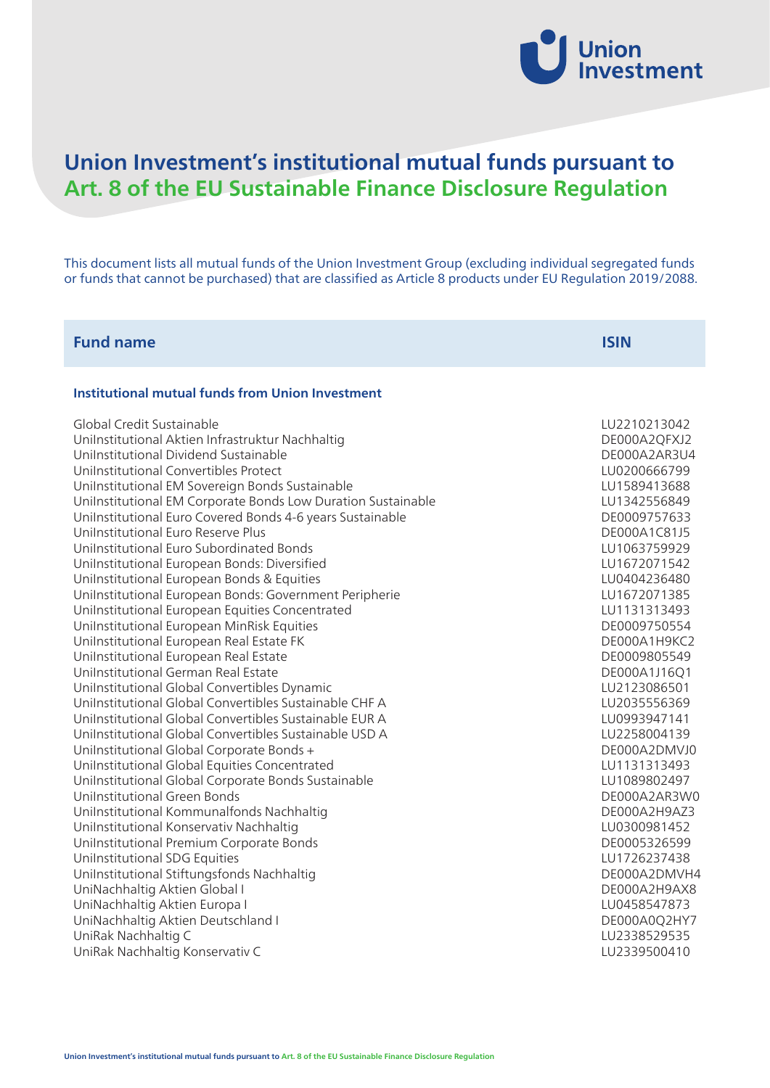

# **Union Investment's institutional mutual funds pursuant to Art. 8 of the EU Sustainable Finance Disclosure Regulation**

This document lists all mutual funds of the Union Investment Group (excluding individual segregated funds or funds that cannot be purchased) that are classified as Article 8 products under EU Regulation 2019/2088.

| <b>ISIN</b>                                                                                                                                                                                                                                                                                                                                                                                                                                                                                                                                  |
|----------------------------------------------------------------------------------------------------------------------------------------------------------------------------------------------------------------------------------------------------------------------------------------------------------------------------------------------------------------------------------------------------------------------------------------------------------------------------------------------------------------------------------------------|
|                                                                                                                                                                                                                                                                                                                                                                                                                                                                                                                                              |
| LU2210213042<br>DE000A2QFXJ2<br>DE000A2AR3U4<br>LU0200666799<br>LU1589413688<br>LU1342556849<br>DE0009757633<br>DE000A1C81J5<br>LU1063759929<br>LU1672071542<br>LU0404236480<br>LU1672071385<br>LU1131313493<br>DE0009750554<br>DE000A1H9KC2<br>DE0009805549<br>DE000A1J16Q1<br>LU2123086501<br>LU2035556369<br>LU0993947141<br>LU2258004139<br>DE000A2DMVJ0<br>LU1131313493<br>LU1089802497<br>DE000A2AR3W0<br>DE000A2H9AZ3<br>LU0300981452<br>DE0005326599<br>LU1726237438<br>DE000A2DMVH4<br>DE000A2H9AX8<br>LU0458547873<br>DE000A0Q2HY7 |
| LU2338529535<br>LU2339500410                                                                                                                                                                                                                                                                                                                                                                                                                                                                                                                 |
|                                                                                                                                                                                                                                                                                                                                                                                                                                                                                                                                              |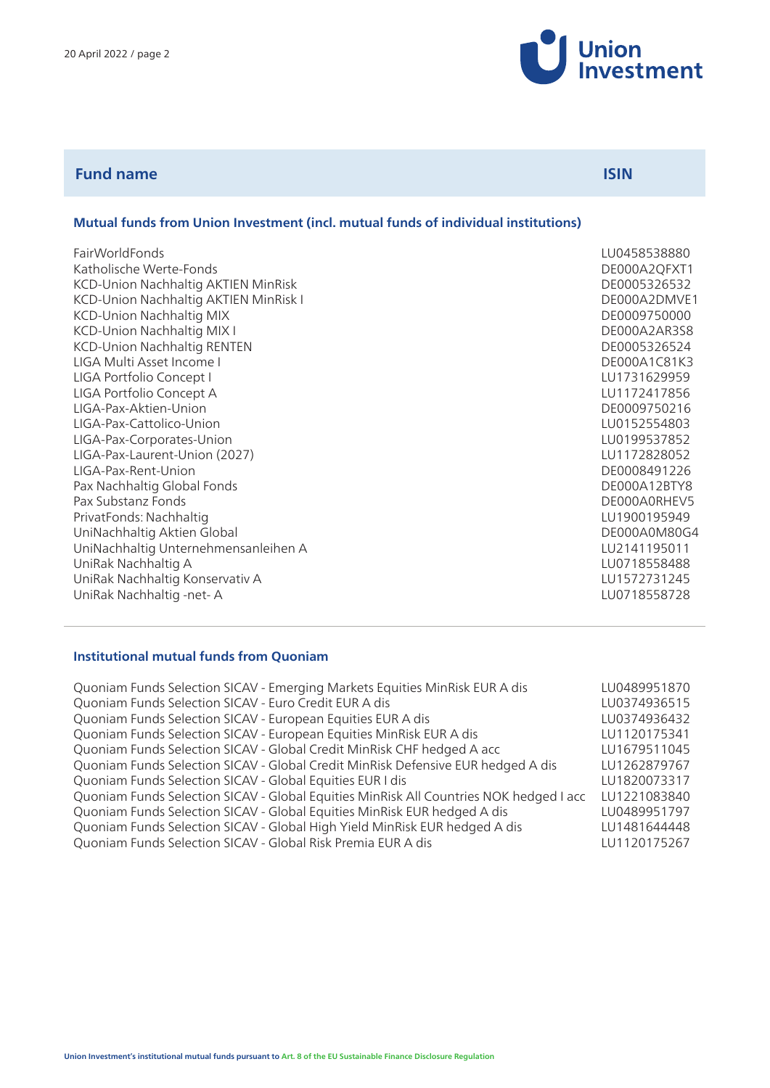

| <b>Fund name</b> | <b>ISIN</b> |
|------------------|-------------|
|                  |             |

# **Mutual funds from Union Investment (incl. mutual funds of individual institutions)**

| FairWorldFonds                        | LU0458538880 |
|---------------------------------------|--------------|
| Katholische Werte-Fonds               | DE000A2QFXT1 |
| KCD-Union Nachhaltig AKTIEN MinRisk   | DE0005326532 |
| KCD-Union Nachhaltig AKTIEN MinRisk I | DE000A2DMVE1 |
| KCD-Union Nachhaltig MIX              | DE0009750000 |
| KCD-Union Nachhaltig MIX I            | DE000A2AR3S8 |
| <b>KCD-Union Nachhaltig RENTEN</b>    | DE0005326524 |
| LIGA Multi Asset Income I             | DE000A1C81K3 |
| LIGA Portfolio Concept I              | LU1731629959 |
| LIGA Portfolio Concept A              | LU1172417856 |
| LIGA-Pax-Aktien-Union                 | DE0009750216 |
| LIGA-Pax-Cattolico-Union              | LU0152554803 |
| LIGA-Pax-Corporates-Union             | LU0199537852 |
| LIGA-Pax-Laurent-Union (2027)         | LU1172828052 |
| LIGA-Pax-Rent-Union                   | DE0008491226 |
| Pax Nachhaltig Global Fonds           | DE000A12BTY8 |
| Pax Substanz Fonds                    | DE000A0RHEV5 |
| PrivatFonds: Nachhaltig               | LU1900195949 |
| UniNachhaltig Aktien Global           | DE000A0M80G4 |
| UniNachhaltig Unternehmensanleihen A  | LU2141195011 |
| UniRak Nachhaltig A                   | LU0718558488 |
| UniRak Nachhaltig Konservativ A       | LU1572731245 |
| UniRak Nachhaltig -net-A              | LU0718558728 |

## **Institutional mutual funds from Quoniam**

| LU0489951870 |
|--------------|
| LU0374936515 |
| LU0374936432 |
| LU1120175341 |
| LU1679511045 |
| LU1262879767 |
| LU1820073317 |
| LU1221083840 |
| LU0489951797 |
| LU1481644448 |
| LU1120175267 |
|              |